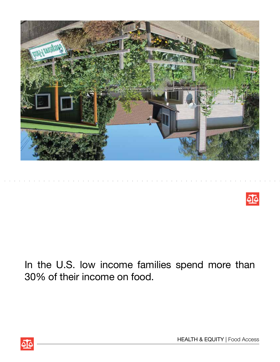



In the U.S. low income families spend more than 30% of their income on food.

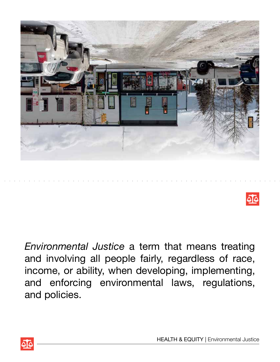



*Environmental Justice* a term that means treating and involving all people fairly, regardless of race, income, or ability, when developing, implementing, and enforcing environmental laws, regulations, and policies.



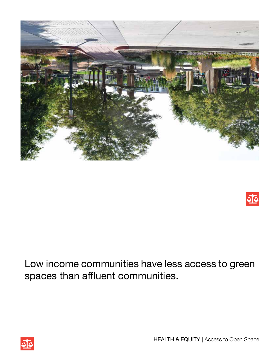



Low income communities have less access to green spaces than affluent communities.



HEALTH & EQUITY | Access to Open Space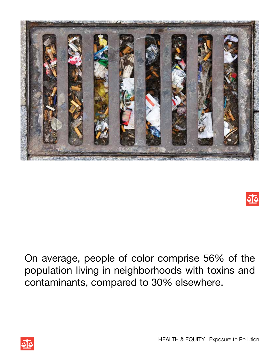



On average, people of color comprise 56% of the population living in neighborhoods with toxins and contaminants, compared to 30% elsewhere.

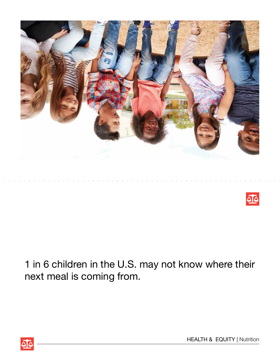



1 in 6 children in the U.S. may not know where their next meal is coming from.



HEALTH & EQUITY | Nutrition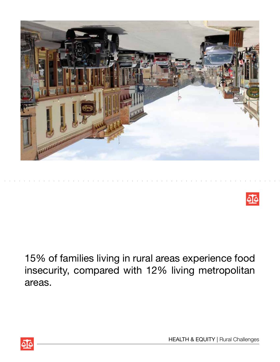



15% of families living in rural areas experience food insecurity, compared with 12% living metropolitan areas.



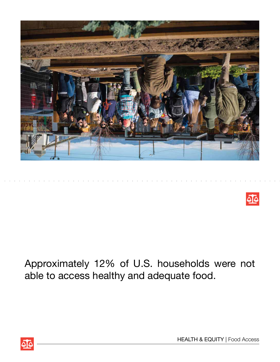



Approximately 12% of U.S. households were not able to access healthy and adequate food.



HEALTH & EQUITY | Food Access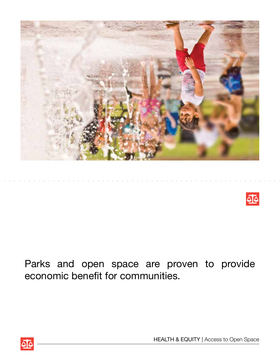



Parks and open space are proven to provide economic benefit for communities.

HEALTH & EQUITY | Access to Open Space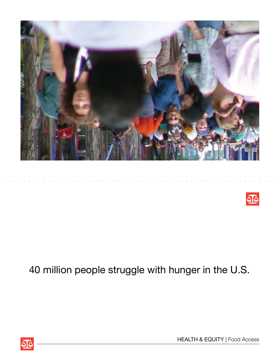



## 40 million people struggle with hunger in the U.S.

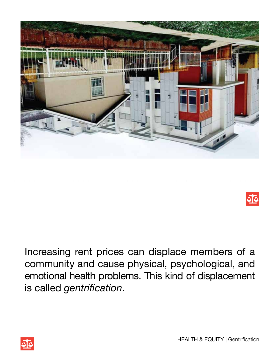



Increasing rent prices can displace members of a community and cause physical, psychological, and emotional health problems. This kind of displacement is called *gentrification*.



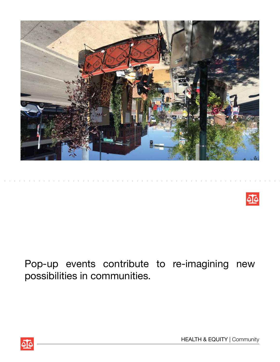



## Pop-up events contribute to re-imagining new possibilities in communities.

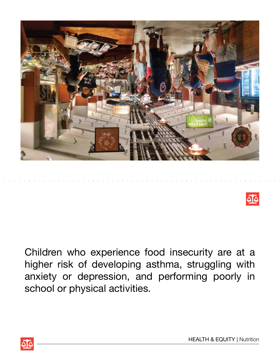



Children who experience food insecurity are at a higher risk of developing asthma, struggling with anxiety or depression, and performing poorly in school or physical activities.